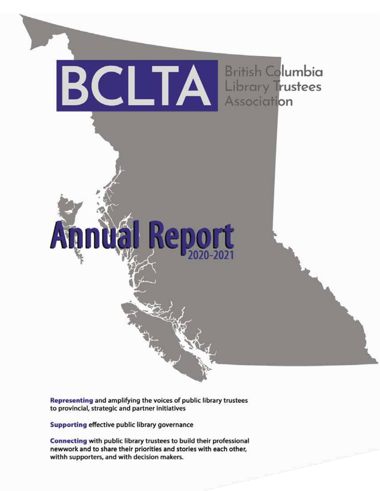

Representing and amplifying the voices of public library trustees to provincial, strategic and partner initiatives

Supporting effective public library governance

Connecting with public library trustees to build their professional newwork and to share their priorities and stories with each other, withh supporters, and with decision makers.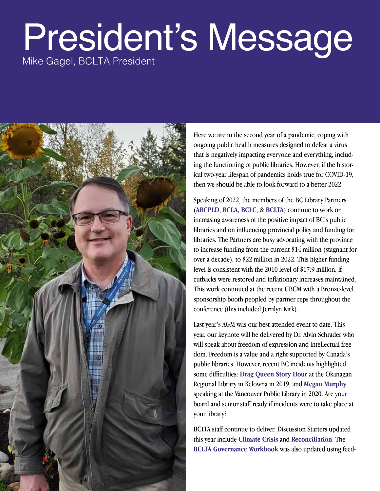### President's Message

Mike Gagel, BCLTA President



Here we are in the second year of a pandemic, coping with ongoing public health measures designed to defeat a virus that is negatively impacting everyone and everything, including the functioning of public libraries. However, if the historical two-year lifespan of pandemics holds true for COVID-19, then we should be able to look forward to a better 2022.

Speaking of 2022, the members of the BC Library Partners (**ABCPLD**, **BCLA**, **BCLC**, & **BCLTA**) continue to work on increasing awareness of the positive impact of BC's public libraries and on influencing provincial policy and funding for libraries. The Partners are busy advocating with the province to increase funding from the current \$14 million (stagnant for over a decade), to \$22 million in 2022. This higher funding level is consistent with the 2010 level of \$17.9 million, if cutbacks were restored and inflationary increases maintained. This work continued at the recent UBCM with a Bronze-level sponsorship booth peopled by partner reps throughout the conference (this included Jerrilyn Kirk).

Last year's AGM was our best attended event to date. This year, our keynote will be delivered by Dr. Alvin Schrader who will speak about freedom of expression and intellectual freedom. Freedom is a value and a right supported by Canada's public libraries. However, recent BC incidents highlighted some difficulties: **Drag Queen Story Hour** at the Okanagan Regional Library in Kelowna in 2019, and **Megan Murphy** speaking at the Vancouver Public Library in 2020. Are your board and senior staff ready if incidents were to take place at your library?

BCLTA staff continue to deliver. Discussion Starters updated this year include **Climate Crisis** and **Reconciliation**. The **BCLTA Governance Workbook** was also updated using feed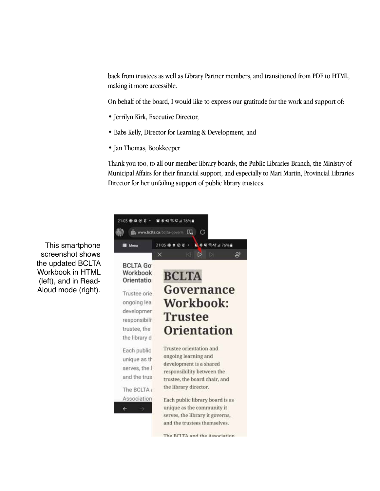back from trustees as well as Library Partner members, and transitioned from PDF to HTML, making it more accessible.

On behalf of the board, I would like to express our gratitude for the work and support of:

- Jerrilyn Kirk, Executive Director,
- Babs Kelly, Director for Learning & Development, and
- Jan Thomas, Bookkeeper

Thank you too, to all our member library boards, the Public Libraries Branch, the Ministry of Municipal Affairs for their financial support, and especially to Mari Martin, Provincial Libraries Director for her unfailing support of public library trustees.



This smartphone screenshot shows the updated BCLTA Workbook in HTML (left), and in Read-Aloud mode (right).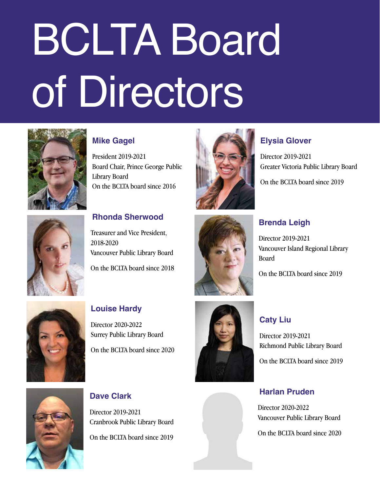# BCLTA Board of Directors



### **Mike Gagel**

President 2019-2021 Board Chair, Prince George Public Library Board On the BCLTA board since 2016



### **Elysia Glover**

Director 2019-2021 Greater Victoria Public Library Board

On the BCLTA board since 2019



### **Rhonda Sherwood**

Treasurer and Vice President, 2018-2020 Vancouver Public Library Board On the BCLTA board since 2018



### **Brenda Leigh**

Director 2019-2021 Vancouver Island Regional Library Board

On the BCLTA board since 2019



### **Louise Hardy**

Director 2020-2022 Surrey Public Library Board On the BCLTA board since 2020



### **Caty Liu**

Director 2019-2021 Richmond Public Library Board

On the BCLTA board since 2019



**Dave Clark**

Director 2019-2021 Cranbrook Public Library Board On the BCLTA board since 2019

### **Harlan Pruden**

Director 2020-2022 Vancouver Public Library Board

On the BCLTA board since 2020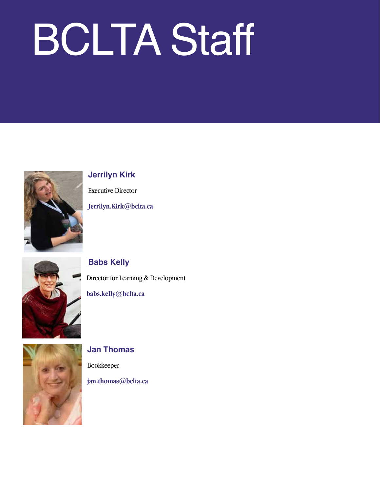## BCLTA Staff



### **Jerrilyn Kirk**

Executive Director **Jerrilyn.Kirk@bclta.ca**



### **Babs Kelly**

Director for Learning & Development

**babs.kelly@bclta.ca**



### **Jan Thomas** Bookkeeper

**jan.thomas@bclta.ca**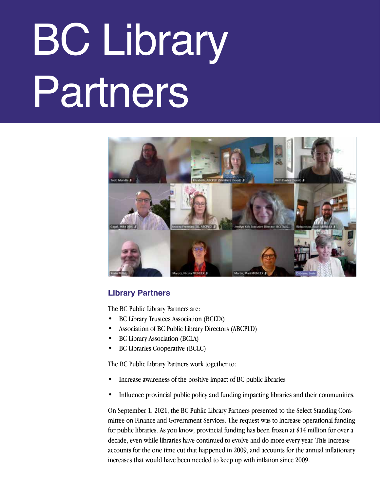# BC Library Partners



### **Library Partners**

The BC Public Library Partners are:

- BC Library Trustees Association (BCLTA)
- Association of BC Public Library Directors (ABCPLD)
- BC Library Association (BCLA)
- BC Libraries Cooperative (BCLC)

The BC Public Library Partners work together to:

- Increase awareness of the positive impact of BC public libraries
- Influence provincial public policy and funding impacting libraries and their communities.

On September 1, 2021, the BC Public Library Partners presented to the Select Standing Committee on Finance and Government Services. The request was to increase operational funding for public libraries. As you know, provincial funding has been frozen at \$14 million for over a decade, even while libraries have continued to evolve and do more every year. This increase accounts for the one time cut that happened in 2009, and accounts for the annual inflationary increases that would have been needed to keep up with inflation since 2009.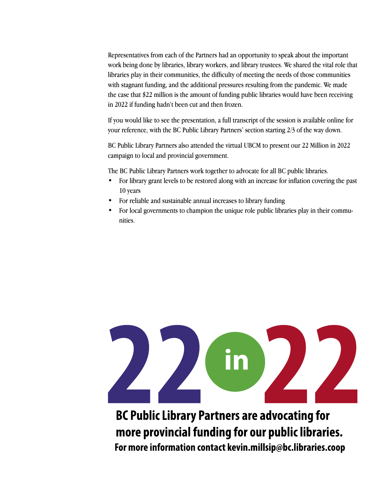Representatives from each of the Partners had an opportunity to speak about the important work being done by libraries, library workers, and library trustees. We shared the vital role that libraries play in their communities, the difficulty of meeting the needs of those communities with stagnant funding, and the additional pressures resulting from the pandemic. We made the case that \$22 million is the amount of funding public libraries would have been receiving in 2022 if funding hadn't been cut and then frozen.

If you would like to see the presentation, a full transcript of the session is available online for your reference, with the BC Public Library Partners' section starting 2/3 of the way down.

BC Public Library Partners also attended the virtual UBCM to present our 22 Million in 2022 campaign to local and provincial government.

The BC Public Library Partners work together to advocate for all BC public libraries.

- For library grant levels to be restored along with an increase for inflation covering the past 10 years
- For reliable and sustainable annual increases to library funding
- For local governments to champion the unique role public libraries play in their communities.



**BC Public Library Partners are advocating for** more provincial funding for our public libraries. For more information contact kevin.millsip@bc.libraries.coop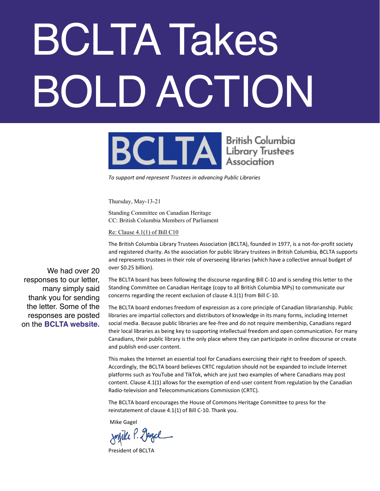# BCLTA Takes BOLD ACTION



*To support and represent Trustees in advancing Public Libraries*

Thursday, May-13-21

Standing Committee on Canadian Heritage CC: British Columbia Members of Parliament

Re: Clause 4.1(1) of Bill C10

The British Columbia Library Trustees Association (BCLTA), founded in 1977, is a not-for-profit society and registered charity. As the association for public library trustees in British Columbia, BCLTA supports and represents trustees in their role of overseeing libraries (which have a collective annual budget of over \$0.25 billion).

The BCLTA board has been following the discourse regarding Bill C-10 and is sending this letter to the Standing Committee on Canadian Heritage (copy to all British Columbia MPs) to communicate our concerns regarding the recent exclusion of clause 4.1(1) from Bill C-10.

The BCLTA board endorses freedom of expression as a core principle of Canadian librarianship. Public libraries are impartial collectors and distributors of knowledge in its many forms, including Internet social media. Because public libraries are fee-free and do not require membership, Canadians regard their local libraries as being key to supporting intellectual freedom and open communication. For many Canadians, their public library is the only place where they can participate in online discourse or create and publish end-user content.

This makes the Internet an essential tool for Canadians exercising their right to freedom of speech. Accordingly, the BCLTA board believes CRTC regulation should not be expanded to include Internet platforms such as YouTube and TikTok, which are just two examples of where Canadians may post content. Clause 4.1(1) allows for the exemption of end-user content from regulation by the Canadian Radio-television and Telecommunications Commission (CRTC).

The BCLTA board encourages the House of Commons Heritage Committee to press for the reinstatement of clause 4.1(1) of Bill C-10. Thank you.

Mike Gagel

Joyike P. Gazel

President of BCLTA

We had over 20 responses to our letter, many simply said thank you for sending the letter. Some of the responses are posted on the **BCLTA website.**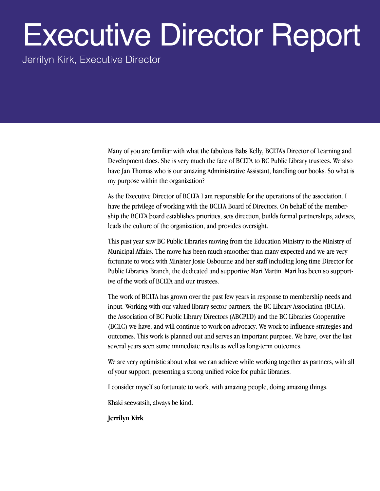### Executive Director Report

Jerrilyn Kirk, Executive Director

Many of you are familiar with what the fabulous Babs Kelly, BCLTA's Director of Learning and Development does. She is very much the face of BCLTA to BC Public Library trustees. We also have Jan Thomas who is our amazing Administrative Assistant, handling our books. So what is my purpose within the organization?

As the Executive Director of BCLTA I am responsible for the operations of the association. I have the privilege of working with the BCLTA Board of Directors. On behalf of the membership the BCLTA board establishes priorities, sets direction, builds formal partnerships, advises, leads the culture of the organization, and provides oversight.

This past year saw BC Public Libraries moving from the Education Ministry to the Ministry of Municipal Affairs. The move has been much smoother than many expected and we are very fortunate to work with Minister Josie Osbourne and her staff including long time Director for Public Libraries Branch, the dedicated and supportive Mari Martin. Mari has been so supportive of the work of BCLTA and our trustees.

The work of BCLTA has grown over the past few years in response to membership needs and input. Working with our valued library sector partners, the BC Library Association (BCLA), the Association of BC Public Library Directors (ABCPLD) and the BC Libraries Cooperative (BCLC) we have, and will continue to work on advocacy. We work to influence strategies and outcomes. This work is planned out and serves an important purpose. We have, over the last several years seen some immediate results as well as long-term outcomes.

We are very optimistic about what we can achieve while working together as partners, with all of your support, presenting a strong unified voice for public libraries.

I consider myself so fortunate to work, with amazing people, doing amazing things.

Khaki seewatsih, always be kind.

**Jerrilyn Kirk**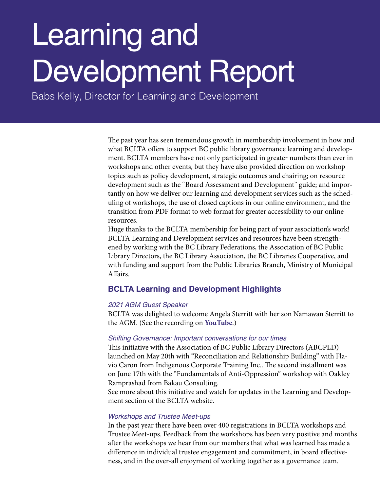### Learning and Development Report

Babs Kelly, Director for Learning and Development

The past year has seen tremendous growth in membership involvement in how and what BCLTA offers to support BC public library governance learning and development. BCLTA members have not only participated in greater numbers than ever in workshops and other events, but they have also provided direction on workshop topics such as policy development, strategic outcomes and chairing; on resource development such as the "Board Assessment and Development" guide; and importantly on how we deliver our learning and development services such as the scheduling of workshops, the use of closed captions in our online environment, and the transition from PDF format to web format for greater accessibility to our online resources.

Huge thanks to the BCLTA membership for being part of your association's work! BCLTA Learning and Development services and resources have been strengthened by working with the BC Library Federations, the Association of BC Public Library Directors, the BC Library Association, the BC Libraries Cooperative, and with funding and support from the Public Libraries Branch, Ministry of Municipal Affairs.

### **BCLTA Learning and Development Highlights**

### *2021 AGM Guest Speaker*

BCLTA was delighted to welcome Angela Sterritt with her son Namawan Sterritt to the AGM. (See the recording on **YouTube**.)

### *Shifting Governance: Important conversations for our times*

This initiative with the Association of BC Public Library Directors (ABCPLD) launched on May 20th with "Reconciliation and Relationship Building" with Flavio Caron from Indigenous Corporate Training Inc.. The second installment was on June 17th with the "Fundamentals of Anti-Oppression" workshop with Oakley Ramprashad from Bakau Consulting.

See more about this initiative and watch for updates in the Learning and Development section of the BCLTA website.

### *Workshops and Trustee Meet-ups*

In the past year there have been over 400 registrations in BCLTA workshops and Trustee Meet-ups. Feedback from the workshops has been very positive and months after the workshops we hear from our members that what was learned has made a difference in individual trustee engagement and commitment, in board effectiveness, and in the over-all enjoyment of working together as a governance team.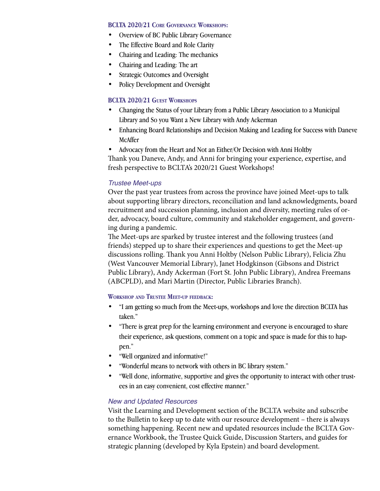### **BCLTA 2020/21 Core Governance Workshops:**

- Overview of BC Public Library Governance
- The Effective Board and Role Clarity
- Chairing and Leading: The mechanics
- Chairing and Leading: The art
- Strategic Outcomes and Oversight
- Policy Development and Oversight

### **BCLTA 2020/21 GUEST WORKSHOPS**

- Changing the Status of your Library from a Public Library Association to a Municipal Library and So you Want a New Library with Andy Ackerman
- Enhancing Board Relationships and Decision Making and Leading for Success with Daneve McAffer
- Advocacy from the Heart and Not an Either/Or Decision with Anni Holtby

Thank you Daneve, Andy, and Anni for bringing your experience, expertise, and fresh perspective to BCLTA's 2020/21 Guest Workshops!

### *Trustee Meet-ups*

Over the past year trustees from across the province have joined Meet-ups to talk about supporting library directors, reconciliation and land acknowledgments, board recruitment and succession planning, inclusion and diversity, meeting rules of order, advocacy, board culture, community and stakeholder engagement, and governing during a pandemic.

The Meet-ups are sparked by trustee interest and the following trustees (and friends) stepped up to share their experiences and questions to get the Meet-up discussions rolling. Thank you Anni Holtby (Nelson Public Library), Felicia Zhu (West Vancouver Memorial Library), Janet Hodgkinson (Gibsons and District Public Library), Andy Ackerman (Fort St. John Public Library), Andrea Freemans (ABCPLD), and Mari Martin (Director, Public Libraries Branch).

### **Workshop and Trustee Meet-up feedback:**

- "I am getting so much from the Meet-ups, workshops and love the direction BCLTA has taken."
- "There is great prep for the learning environment and everyone is encouraged to share their experience, ask questions, comment on a topic and space is made for this to happen."
- "Well organized and informative!"
- "Wonderful means to network with others in BC library system."
- "Well done, informative, supportive and gives the opportunity to interact with other trustees in an easy convenient, cost effective manner."

### *New and Updated Resources*

Visit the Learning and Development section of the BCLTA website and subscribe to the Bulletin to keep up to date with our resource development – there is always something happening. Recent new and updated resources include the BCLTA Governance Workbook, the Trustee Quick Guide, Discussion Starters, and guides for strategic planning (developed by Kyla Epstein) and board development.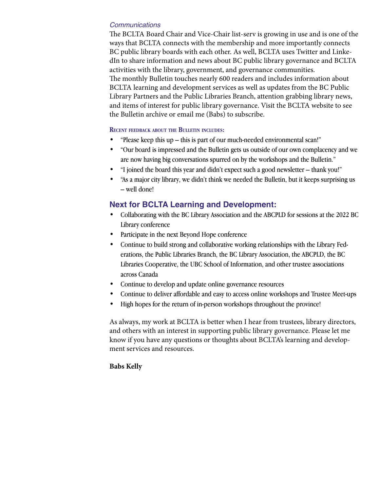### *Communications*

The BCLTA Board Chair and Vice-Chair list-serv is growing in use and is one of the ways that BCLTA connects with the membership and more importantly connects BC public library boards with each other. As well, BCLTA uses Twitter and LinkedIn to share information and news about BC public library governance and BCLTA activities with the library, government, and governance communities. The monthly Bulletin touches nearly 600 readers and includes information about BCLTA learning and development services as well as updates from the BC Public Library Partners and the Public Libraries Branch, attention grabbing library news, and items of interest for public library governance. Visit the BCLTA website to see the Bulletin archive or email me (Babs) to subscribe.

### **Recent feedback about the Bulletin includes:**

- "Please keep this up this is part of our much-needed environmental scan!"
- "Our board is impressed and the Bulletin gets us outside of our own complacency and we are now having big conversations spurred on by the workshops and the Bulletin."
- "I joined the board this year and didn't expect such a good newsletter thank you!"
- "As a major city library, we didn't think we needed the Bulletin, but it keeps surprising us – well done!

### **Next for BCLTA Learning and Development:**

- Collaborating with the BC Library Association and the ABCPLD for sessions at the 2022 BC Library conference
- Participate in the next Beyond Hope conference
- Continue to build strong and collaborative working relationships with the Library Federations, the Public Libraries Branch, the BC Library Association, the ABCPLD, the BC Libraries Cooperative, the UBC School of Information, and other trustee associations across Canada
- Continue to develop and update online governance resources
- Continue to deliver affordable and easy to access online workshops and Trustee Meet-ups
- High hopes for the return of in-person workshops throughout the province!

As always, my work at BCLTA is better when I hear from trustees, library directors, and others with an interest in supporting public library governance. Please let me know if you have any questions or thoughts about BCLTA's learning and development services and resources.

### **Babs Kelly**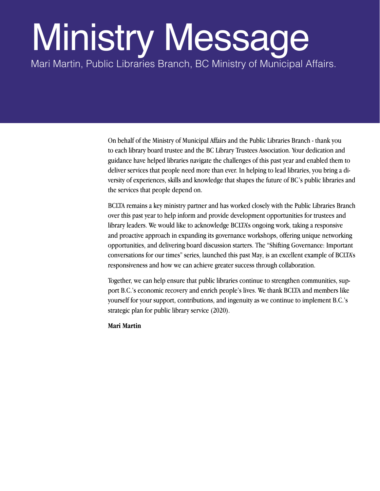### Ministry Message

Mari Martin, Public Libraries Branch, BC Ministry of Municipal Affairs.

On behalf of the Ministry of Municipal Affairs and the Public Libraries Branch - thank you to each library board trustee and the BC Library Trustees Association. Your dedication and guidance have helped libraries navigate the challenges of this past year and enabled them to deliver services that people need more than ever. In helping to lead libraries, you bring a diversity of experiences, skills and knowledge that shapes the future of BC's public libraries and the services that people depend on.

BCLTA remains a key ministry partner and has worked closely with the Public Libraries Branch over this past year to help inform and provide development opportunities for trustees and library leaders. We would like to acknowledge BCLTA's ongoing work, taking a responsive and proactive approach in expanding its governance workshops, offering unique networking opportunities, and delivering board discussion starters. The "Shifting Governance: Important conversations for our times" series, launched this past May, is an excellent example of BCLTA's responsiveness and how we can achieve greater success through collaboration.

Together, we can help ensure that public libraries continue to strengthen communities, support B.C.'s economic recovery and enrich people's lives. We thank BCLTA and members like yourself for your support, contributions, and ingenuity as we continue to implement B.C.'s strategic plan for public library service (2020).

**Mari Martin**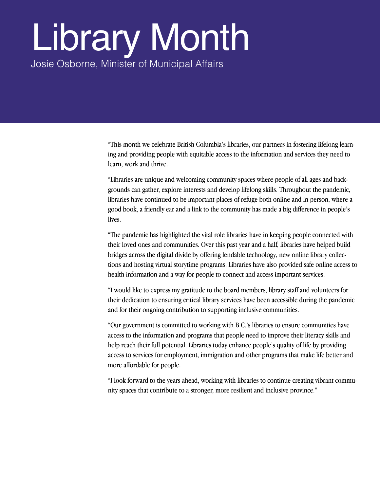## Library Month

Josie Osborne, Minister of Municipal Affairs

"This month we celebrate British Columbia's libraries, our partners in fostering lifelong learning and providing people with equitable access to the information and services they need to learn, work and thrive.

"Libraries are unique and welcoming community spaces where people of all ages and backgrounds can gather, explore interests and develop lifelong skills. Throughout the pandemic, libraries have continued to be important places of refuge both online and in person, where a good book, a friendly ear and a link to the community has made a big difference in people's lives.

"The pandemic has highlighted the vital role libraries have in keeping people connected with their loved ones and communities. Over this past year and a half, libraries have helped build bridges across the digital divide by offering lendable technology, new online library collections and hosting virtual storytime programs. Libraries have also provided safe online access to health information and a way for people to connect and access important services.

"I would like to express my gratitude to the board members, library staff and volunteers for their dedication to ensuring critical library services have been accessible during the pandemic and for their ongoing contribution to supporting inclusive communities.

"Our government is committed to working with B.C.'s libraries to ensure communities have access to the information and programs that people need to improve their literacy skills and help reach their full potential. Libraries today enhance people's quality of life by providing access to services for employment, immigration and other programs that make life better and more affordable for people.

"I look forward to the years ahead, working with libraries to continue creating vibrant community spaces that contribute to a stronger, more resilient and inclusive province."